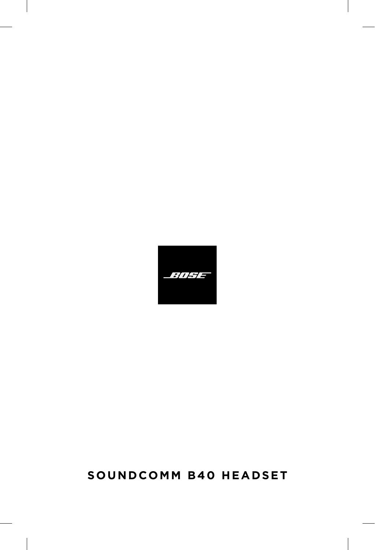# **SOUNDCOMM B40 HEADSET**

*- :||F|=*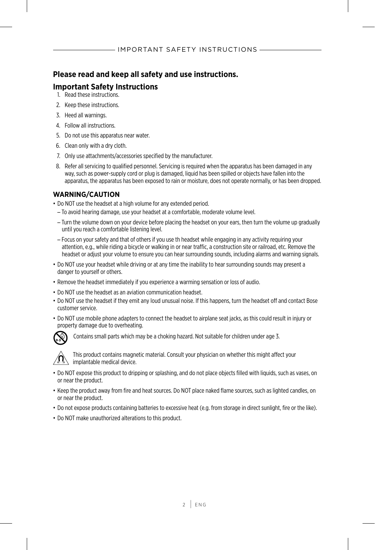#### **Please read and keep all safety and use instructions.**

#### **Important Safety Instructions**

- 1. Read these instructions.
- 2. Keep these instructions.
- 3. Heed all warnings.
- 4. Follow all instructions.
- 5. Do not use this apparatus near water.
- 6. Clean only with a dry cloth.
- 7. Only use attachments/accessories specified by the manufacturer.
- 8. Refer all servicing to qualified personnel. Servicing is required when the apparatus has been damaged in any way, such as power-supply cord or plug is damaged, liquid has been spilled or objects have fallen into the apparatus, the apparatus has been exposed to rain or moisture, does not operate normally, or has been dropped.

#### **WARNING/CAUTION**

- Do NOT use the headset at a high volume for any extended period.
	- To avoid hearing damage, use your headset at a comfortable, moderate volume level.
	- Turn the volume down on your device before placing the headset on your ears, then turn the volume up gradually until you reach a comfortable listening level.
	- Focus on your safety and that of others if you use th headset while engaging in any activity requiring your attention, e.g., while riding a bicycle or walking in or near traffic, a construction site or railroad, etc. Remove the headset or adjust your volume to ensure you can hear surrounding sounds, including alarms and warning signals.
- Do NOT use your headset while driving or at any time the inability to hear surrounding sounds may present a danger to yourself or others.
- Remove the headset immediately if you experience a warming sensation or loss of audio.
- Do NOT use the headset as an aviation communication headset.
- Do NOT use the headset if they emit any loud unusual noise. If this happens, turn the headset off and contact Bose customer service.
- Do NOT use mobile phone adapters to connect the headset to airplane seat jacks, as this could result in injury or property damage due to overheating.



Contains small parts which may be a choking hazard. Not suitable for children under age 3.



This product contains magnetic material. Consult your physician on whether this might affect your implantable medical device.

- Do NOT expose this product to dripping or splashing, and do not place objects filled with liquids, such as vases, on or near the product.
- Keep the product away from fire and heat sources. Do NOT place naked flame sources, such as lighted candles, on or near the product.
- Do not expose products containing batteries to excessive heat (e.g. from storage in direct sunlight, fire or the like).
- Do NOT make unauthorized alterations to this product.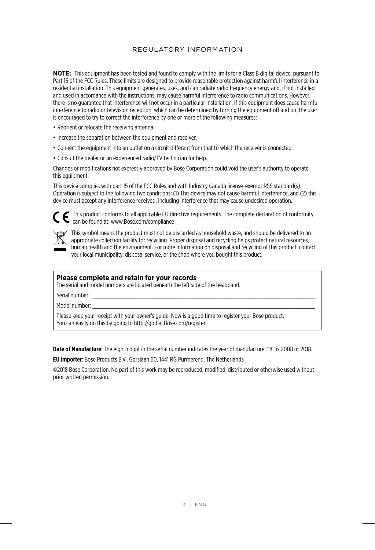**NOTE:** This equipment has been tested and found to comply with the limits for a Class B digital device, pursuant to Part 15 of the FCC Rules. These limits are designed to provide reasonable protection against harmful interference in a residential installation. This equipment generates, uses, and can radiate radio frequency energy and, if not installed and used in accordance with the instructions, may cause harmful interference to radio communications. However, there is no guarantee that interference will not occur in a particular installation. If this equipment does cause harmful interference to radio or television reception, which can be determined by turning the equipment off and on, the user is encouraged to try to correct the interference by one or more of the following measures:

- Reorient or relocate the receiving antenna.
- Increase the separation between the equipment and receiver.
- Connect the equipment into an outlet on a circuit different from that to which the receiver is connected.
- Consult the dealer or an experienced radio/TV technician for help.

Changes or modifications not expressly approved by Bose Corporation could void the user's authority to operate this equipment.

This device complies with part 15 of the FCC Rules and with Industry Canada license-exempt RSS standard(s). Operation is subject to the following two conditions: (1) This device may not cause harmful interference, and (2) this device must accept any interference received, including interference that may cause undesired operation.

This product conforms to all applicable EU directive requirements. The complete declaration of conformity can be found at: www.Bose.com/compliance



This symbol means the product must not be discarded as household waste, and should be delivered to an appropriate collection facility for recycling. Proper disposal and recycling helps protect natural resources, human health and the environment. For more information on disposal and recycling of this product, contact your local municipality, disposal service, or the shop where you bought this product.

#### **Please complete and retain for your records**

The serial and model numbers are located beneath the left side of the headband.

Serial number: \_\_\_\_\_\_\_\_\_\_\_\_\_\_\_\_\_\_\_\_\_\_\_\_\_\_\_\_\_\_\_\_\_\_\_\_\_\_\_\_\_\_\_\_\_\_\_\_\_\_\_\_\_\_\_\_\_\_\_\_\_\_\_\_\_\_\_\_

Model number:

Please keep your receipt with your owner's guide. Now is a good time to register your Bose product. You can easily do this by going to http://global.Bose.com/register

**Date of Manufacture**: The eighth digit in the serial number indicates the year of manufacture; "8" is 2008 or 2018.

**EU Importer**: Bose Products B.V., Gorslaan 60, 1441 RG Purmerend, The Netherlands

©2018 Bose Corporation. No part of this work may be reproduced, modified, distributed or otherwise used without prior written permission.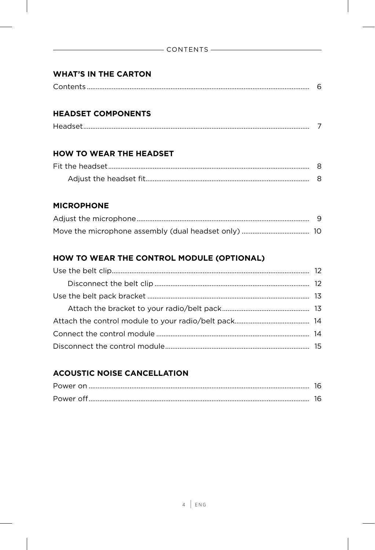#### **WHAT'S IN THE CARTON**

|--|--|

#### **HEADSET COMPONENTS**

#### **HOW TO WEAR THE HEADSET**

#### **MICROPHONE**

#### HOW TO WEAR THE CONTROL MODULE (OPTIONAL)

#### **ACOUSTIC NOISE CANCELLATION**

| Power on  |  |
|-----------|--|
| Power off |  |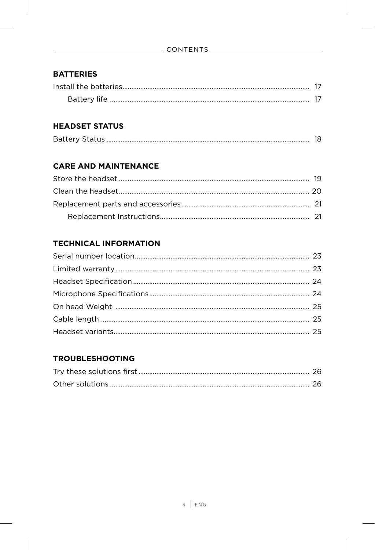#### **BATTERIES**

# **HEADSET STATUS**

|--|--|

# **CARE AND MAINTENANCE**

#### **TECHNICAL INFORMATION**

#### **TROUBLESHOOTING**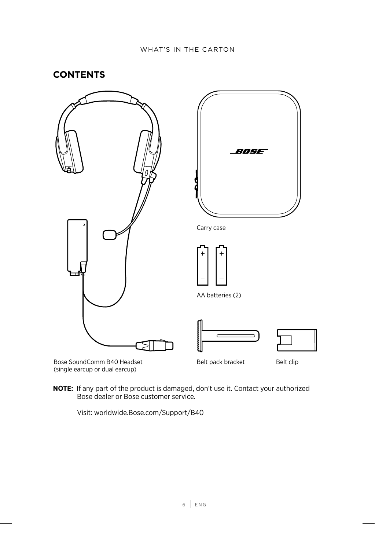#### <span id="page-5-1"></span><span id="page-5-0"></span>**CONTENTS**



**NOTE:** If any part of the product is damaged, don't use it. Contact your authorized Bose dealer or Bose customer service.

Visit: worldwide.Bose.com/Support/B40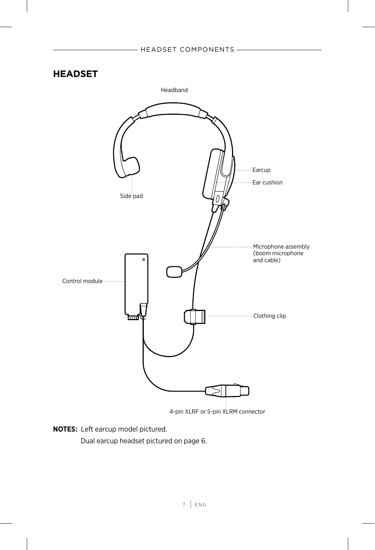#### <span id="page-6-0"></span>**HEADSET**



**NOTES:** Left earcup model pictured.

Dual earcup headset pictured on [page 6](#page-5-1).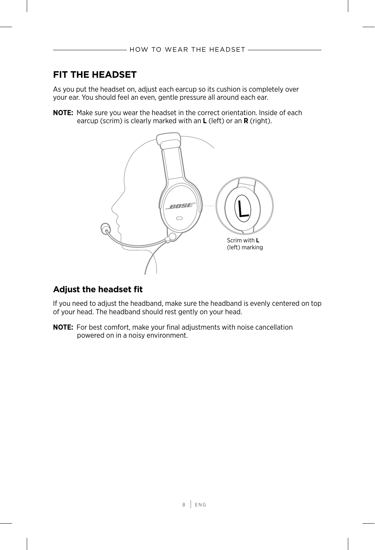# <span id="page-7-1"></span><span id="page-7-0"></span>**FIT THE HEADSET**

As you put the headset on, adjust each earcup so its cushion is completely over your ear. You should feel an even, gentle pressure all around each ear.

**NOTE:** Make sure you wear the headset in the correct orientation. Inside of each earcup (scrim) is clearly marked with an **L** (left) or an **R** (right).



#### **Adjust the headset fit**

If you need to adjust the headband, make sure the headband is evenly centered on top of your head. The headband should rest gently on your head.

**NOTE:** For best comfort, make your final adjustments with noise cancellation powered on in a noisy environment.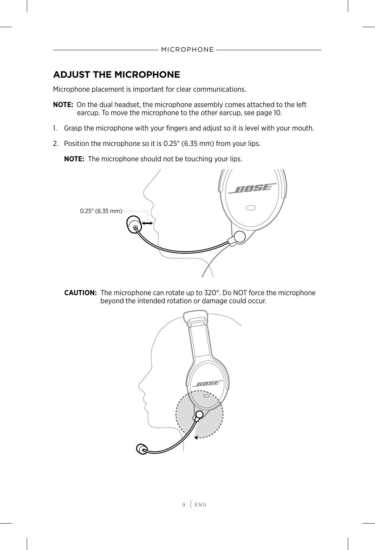# <span id="page-8-0"></span>**ADJUST THE MICROPHONE**

Microphone placement is important for clear communications.

- **NOTE:** On the dual headset, the microphone assembly comes attached to the left earcup. To move the microphone to the other earcup, see [page 10.](#page-9-1)
- 1. Grasp the microphone with your fingers and adjust so it is level with your mouth.
- 2. Position the microphone so it is 0.25" (6.35 mm) from your lips.

**NOTE:** The microphone should not be touching your lips.



**CAUTION:** The microphone can rotate up to 320°. Do NOT force the microphone beyond the intended rotation or damage could occur.

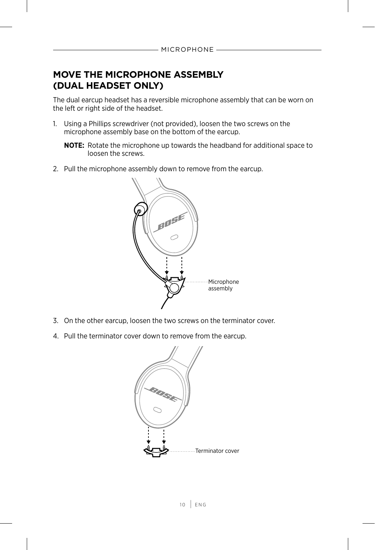# <span id="page-9-1"></span><span id="page-9-0"></span>**MOVE THE MICROPHONE ASSEMBLY (DUAL HEADSET ONLY)**

The dual earcup headset has a reversible microphone assembly that can be worn on the left or right side of the headset.

1. Using a Phillips screwdriver (not provided), loosen the two screws on the microphone assembly base on the bottom of the earcup.

**NOTE:** Rotate the microphone up towards the headband for additional space to loosen the screws.

2. Pull the microphone assembly down to remove from the earcup.



- 3. On the other earcup, loosen the two screws on the terminator cover.
- 4. Pull the terminator cover down to remove from the earcup.

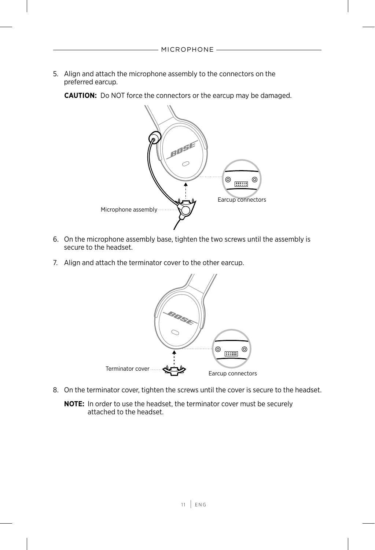5. Align and attach the microphone assembly to the connectors on the preferred earcup.

**CAUTION:** Do NOT force the connectors or the earcup may be damaged.



- 6. On the microphone assembly base, tighten the two screws until the assembly is secure to the headset.
- 7. Align and attach the terminator cover to the other earcup.



8. On the terminator cover, tighten the screws until the cover is secure to the headset.

**NOTE:** In order to use the headset, the terminator cover must be securely attached to the headset.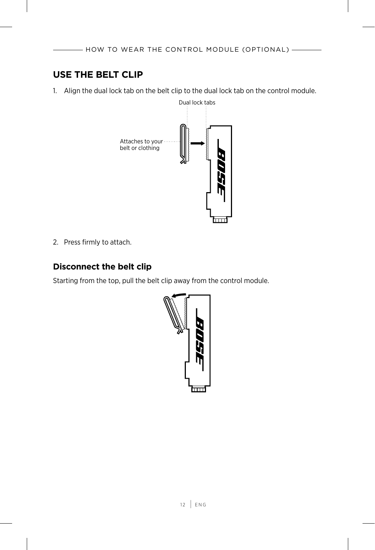# <span id="page-11-0"></span>**USE THE BELT CLIP**

1. Align the dual lock tab on the belt clip to the dual lock tab on the control module.



2. Press firmly to attach.

#### **Disconnect the belt clip**

Starting from the top, pull the belt clip away from the control module.

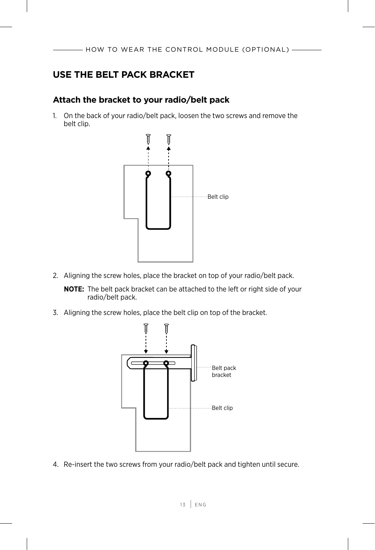# <span id="page-12-0"></span>**USE THE BELT PACK BRACKET**

#### **Attach the bracket to your radio/belt pack**

1. On the back of your radio/belt pack, loosen the two screws and remove the belt clip.



2. Aligning the screw holes, place the bracket on top of your radio/belt pack.

**NOTE:** The belt pack bracket can be attached to the left or right side of your radio/belt pack.

3. Aligning the screw holes, place the belt clip on top of the bracket.



4. Re-insert the two screws from your radio/belt pack and tighten until secure.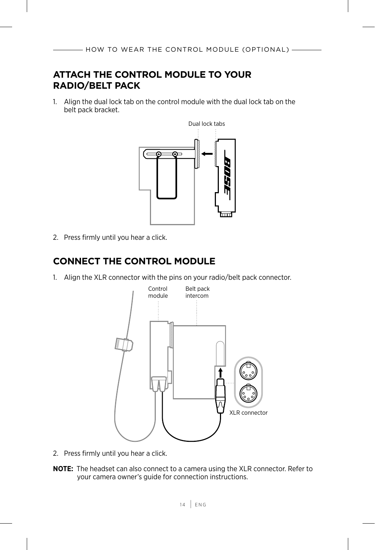# <span id="page-13-0"></span>**ATTACH THE CONTROL MODULE TO YOUR RADIO/BELT PACK**

1. Align the dual lock tab on the control module with the dual lock tab on the belt pack bracket.



2. Press firmly until you hear a click.

# **CONNECT THE CONTROL MODULE**

1. Align the XLR connector with the pins on your radio/belt pack connector.



- 2. Press firmly until you hear a click.
- **NOTE:** The headset can also connect to a camera using the XLR connector. Refer to your camera owner's guide for connection instructions.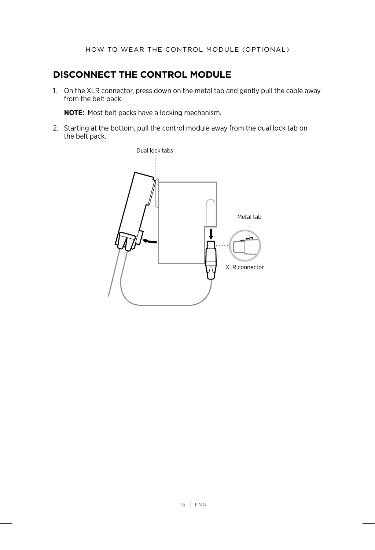# <span id="page-14-0"></span>**DISCONNECT THE CONTROL MODULE**

1. On the XLR connector, press down on the metal tab and gently pull the cable away from the belt pack.

**NOTE:** Most belt packs have a locking mechanism.

2. Starting at the bottom, pull the control module away from the dual lock tab on the belt pack.

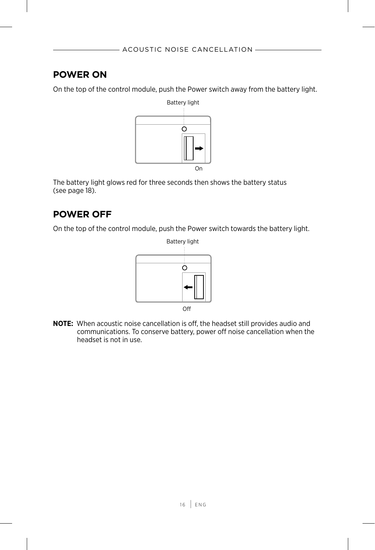#### <span id="page-15-1"></span><span id="page-15-0"></span>**POWER ON**

On the top of the control module, push the Power switch away from the battery light.



The battery light glows red for three seconds then shows the battery status (see [page 18](#page-17-1)).

# **POWER OFF**

On the top of the control module, push the Power switch towards the battery light.



**NOTE:** When acoustic noise cancellation is off, the headset still provides audio and communications. To conserve battery, power off noise cancellation when the headset is not in use.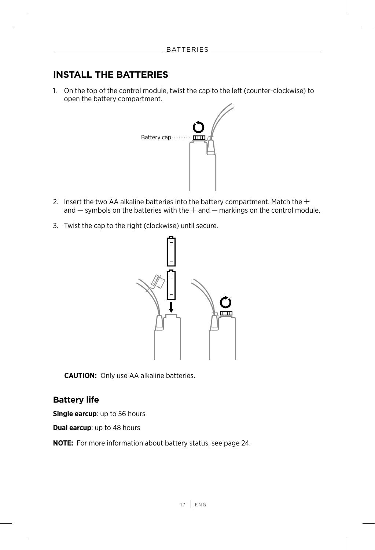# <span id="page-16-1"></span><span id="page-16-0"></span>**INSTALL THE BATTERIES**

1. On the top of the control module, twist the cap to the left (counter-clockwise) to open the battery compartment.



- 2. Insert the two AA alkaline batteries into the battery compartment. Match the  $+$ and  $-$  symbols on the batteries with the  $+$  and  $-$  markings on the control module.
- 3. Twist the cap to the right (clockwise) until secure.



**CAUTION:** Only use AA alkaline batteries.

#### **Battery life**

**Single earcup**: up to 56 hours

**Dual earcup**: up to 48 hours

**NOTE:** For more information about battery status, see [page 24](#page-23-1).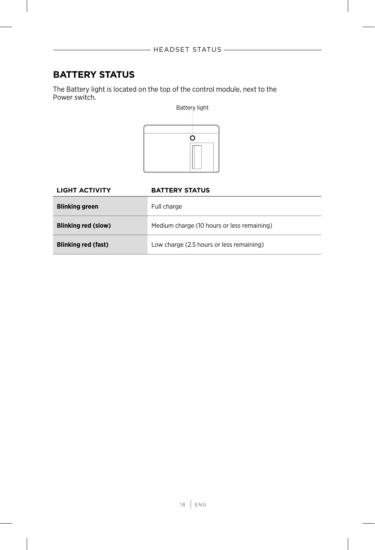# <span id="page-17-1"></span><span id="page-17-0"></span>**BATTERY STATUS**

The Battery light is located on the top of the control module, next to the Power switch.



# **LIGHT ACTIVITY BATTERY STATUS Blinking green** Full charge **Blinking red (slow)** Medium charge (10 hours or less remaining) **Blinking red (fast)** Low charge (2.5 hours or less remaining)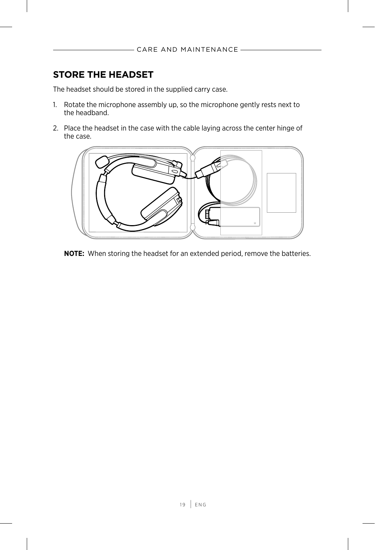# <span id="page-18-0"></span>**STORE THE HEADSET**

The headset should be stored in the supplied carry case.

- 1. Rotate the microphone assembly up, so the microphone gently rests next to the headband.
- 2. Place the headset in the case with the cable laying across the center hinge of the case.



**NOTE:** When storing the headset for an extended period, remove the batteries.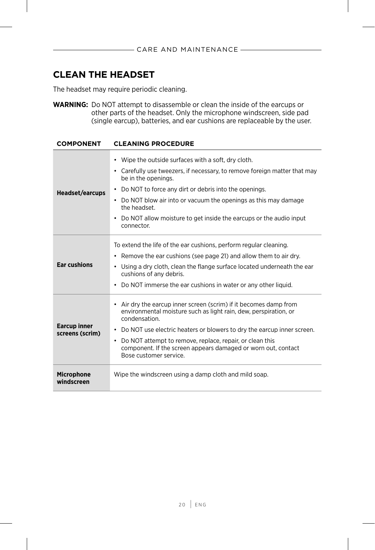# <span id="page-19-0"></span>**CLEAN THE HEADSET**

The headset may require periodic cleaning.

**WARNING:** Do NOT attempt to disassemble or clean the inside of the earcups or other parts of the headset. Only the microphone windscreen, side pad (single earcup), batteries, and ear cushions are replaceable by the user.

| <b>COMPONENT</b>                       | <b>CLEANING PROCEDURE</b>                                                                                                                                                                                                                                                                                                                                                                         |
|----------------------------------------|---------------------------------------------------------------------------------------------------------------------------------------------------------------------------------------------------------------------------------------------------------------------------------------------------------------------------------------------------------------------------------------------------|
| <b>Headset/earcups</b>                 | • Wipe the outside surfaces with a soft, dry cloth.<br>• Carefully use tweezers, if necessary, to remove foreign matter that may<br>be in the openings.<br>• Do NOT to force any dirt or debris into the openings.<br>• Do NOT blow air into or vacuum the openings as this may damage<br>the headset.<br>Do NOT allow moisture to get inside the earcups or the audio input<br>٠<br>connector.   |
| <b>Ear cushions</b>                    | To extend the life of the ear cushions, perform regular cleaning.<br>• Remove the ear cushions (see page 21) and allow them to air dry.<br>• Using a dry cloth, clean the flange surface located underneath the ear<br>cushions of any debris.<br>Do NOT immerse the ear cushions in water or any other liquid.<br>٠                                                                              |
| <b>Earcup inner</b><br>screens (scrim) | • Air dry the earcup inner screen (scrim) if it becomes damp from<br>environmental moisture such as light rain, dew, perspiration, or<br>condensation.<br>Do NOT use electric heaters or blowers to dry the earcup inner screen.<br>٠<br>Do NOT attempt to remove, replace, repair, or clean this<br>٠<br>component. If the screen appears damaged or worn out, contact<br>Bose customer service. |
| <b>Microphone</b><br>windscreen        | Wipe the windscreen using a damp cloth and mild soap.                                                                                                                                                                                                                                                                                                                                             |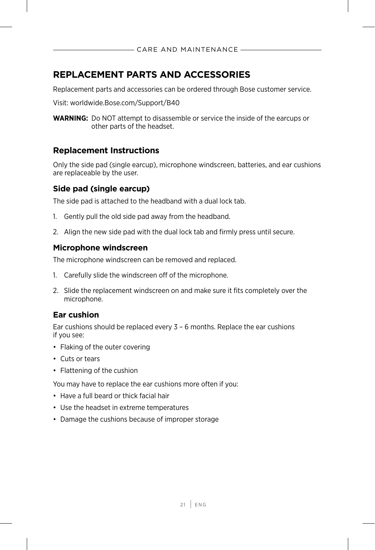# <span id="page-20-2"></span><span id="page-20-0"></span>**REPLACEMENT PARTS AND ACCESSORIES**

Replacement parts and accessories can be ordered through Bose customer service.

Visit: worldwide.Bose.com/Support/B40

**WARNING:** Do NOT attempt to disassemble or service the inside of the earcups or other parts of the headset.

#### **Replacement Instructions**

Only the side pad (single earcup), microphone windscreen, batteries, and ear cushions are replaceable by the user.

#### **Side pad (single earcup)**

The side pad is attached to the headband with a dual lock tab.

- 1. Gently pull the old side pad away from the headband.
- 2. Align the new side pad with the dual lock tab and firmly press until secure.

#### **Microphone windscreen**

The microphone windscreen can be removed and replaced.

- 1. Carefully slide the windscreen off of the microphone.
- 2. Slide the replacement windscreen on and make sure it fits completely over the microphone.

#### <span id="page-20-1"></span>**Ear cushion**

Ear cushions should be replaced every  $3 - 6$  months. Replace the ear cushions if you see:

- Flaking of the outer covering
- Cuts or tears
- Flattening of the cushion

You may have to replace the ear cushions more often if you:

- Have a full beard or thick facial hair
- Use the headset in extreme temperatures
- Damage the cushions because of improper storage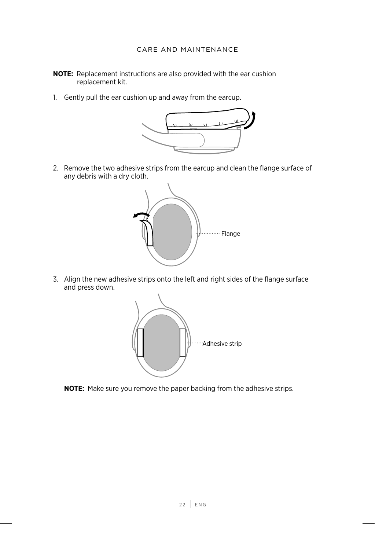- **NOTE:** Replacement instructions are also provided with the ear cushion replacement kit.
- 1. Gently pull the ear cushion up and away from the earcup.



2. Remove the two adhesive strips from the earcup and clean the flange surface of any debris with a dry cloth.



3. Align the new adhesive strips onto the left and right sides of the flange surface and press down.



**NOTE:** Make sure you remove the paper backing from the adhesive strips.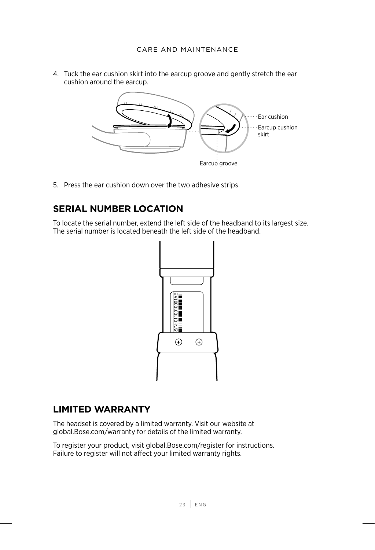<span id="page-22-0"></span>4. Tuck the ear cushion skirt into the earcup groove and gently stretch the ear cushion around the earcup.



5. Press the ear cushion down over the two adhesive strips.

# **SERIAL NUMBER LOCATION**

To locate the serial number, extend the left side of the headband to its largest size. The serial number is located beneath the left side of the headband.



#### **LIMITED WARRANTY**

The headset is covered by a limited warranty. Visit our website at global.Bose.com/warranty for details of the limited warranty.

To register your product, visit global.Bose.com/register for instructions. Failure to register will not affect your limited warranty rights.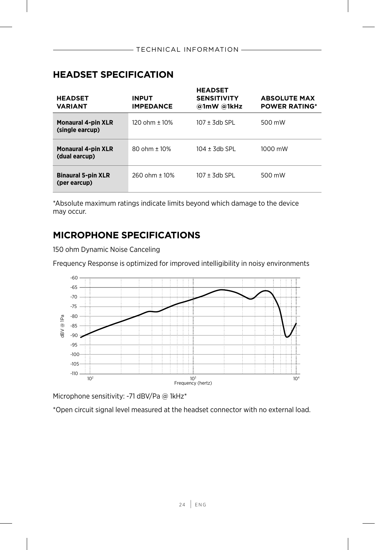# <span id="page-23-1"></span><span id="page-23-0"></span>**HEADSET SPECIFICATION**

| <b>HEADSET</b><br><b>VARIANT</b>             | <b>INPUT</b><br><b>IMPEDANCE</b> | <b>HEADSET</b><br><b>SENSITIVITY</b><br>@1mW @1kHz | <b>ABSOLUTE MAX</b><br><b>POWER RATING*</b> |
|----------------------------------------------|----------------------------------|----------------------------------------------------|---------------------------------------------|
| <b>Monaural 4-pin XLR</b><br>(single earcup) | 120 ohm ± 10%                    | $107 \pm 3$ db SPL                                 | 500 mW                                      |
| <b>Monaural 4-pin XLR</b><br>(dual earcup)   | $80 \text{ ohm} + 10\%$          | 104 + 3db SPL                                      | 1000 mW                                     |
| <b>Binaural 5-pin XLR</b><br>(per earcup)    | 260 ohm ± 10%                    | $107 \pm 3$ db SPL                                 | 500 mW                                      |

\*Absolute maximum ratings indicate limits beyond which damage to the device may occur.

# **MICROPHONE SPECIFICATIONS**

150 ohm Dynamic Noise Canceling

Frequency Response is optimized for improved intelligibility in noisy environments



Microphone sensitivity: -71 dBV/Pa @ 1kHz\*

\*Open circuit signal level measured at the headset connector with no external load.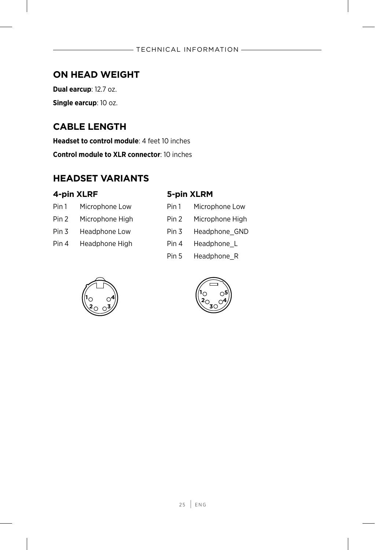# <span id="page-24-0"></span>**ON HEAD WEIGHT**

**Dual earcup**: 12.7 oz. **Single earcup**: 10 oz.

# **CABLE LENGTH**

**Headset to control module**: 4 feet 10 inches

**Control module to XLR connector**: 10 inches

# **HEADSET VARIANTS**

#### **4-pin XLRF 5-pin XLRM**

| Pin 1 | Microphone Low  |
|-------|-----------------|
| Pin 2 | Microphone High |

Pin 4 Headphone High

| Pin 1 | Microphone Low  | Pin 1 | Microphone Low  |
|-------|-----------------|-------|-----------------|
| Pin 2 | Microphone High | Pin 2 | Microphone High |
| Pin 3 | Headphone Low   | Pin 3 | Headphone GND   |
| Pin 4 | Headphone High  | Pin 4 | Headphone L     |

Pin 5 Headphone R



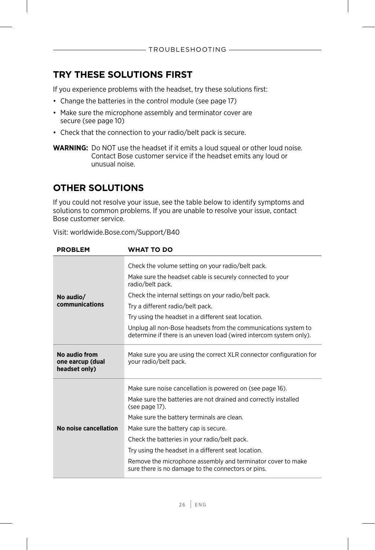# <span id="page-25-0"></span>**TRY THESE SOLUTIONS FIRST**

If you experience problems with the headset, try these solutions first:

- Change the batteries in the control module (see [page 17\)](#page-16-1)
- Make sure the microphone assembly and terminator cover are secure (see [page 10](#page-9-1))
- Check that the connection to your radio/belt pack is secure.
- **WARNING:** Do NOT use the headset if it emits a loud squeal or other loud noise. Contact Bose customer service if the headset emits any loud or unusual noise.

# **OTHER SOLUTIONS**

If you could not resolve your issue, see the table below to identify symptoms and solutions to common problems. If you are unable to resolve your issue, contact Bose customer service.

| <b>PROBLEM</b>                                     | <b>WHAT TO DO</b>                                                                                                                    |  |  |
|----------------------------------------------------|--------------------------------------------------------------------------------------------------------------------------------------|--|--|
|                                                    | Check the volume setting on your radio/belt pack.                                                                                    |  |  |
|                                                    | Make sure the headset cable is securely connected to your<br>radio/belt pack.                                                        |  |  |
| No audio/                                          | Check the internal settings on your radio/belt pack.                                                                                 |  |  |
| communications                                     | Try a different radio/belt pack.                                                                                                     |  |  |
|                                                    | Try using the headset in a different seat location.                                                                                  |  |  |
|                                                    | Unplug all non-Bose headsets from the communications system to<br>determine if there is an uneven load (wired intercom system only). |  |  |
| No audio from<br>one earcup (dual<br>headset only) | Make sure you are using the correct XLR connector configuration for<br>your radio/belt pack.                                         |  |  |
| No noise cancellation                              | Make sure noise cancellation is powered on (see page 16).                                                                            |  |  |
|                                                    | Make sure the batteries are not drained and correctly installed<br>(see page 17).                                                    |  |  |
|                                                    | Make sure the battery terminals are clean.                                                                                           |  |  |
|                                                    | Make sure the battery cap is secure.                                                                                                 |  |  |
|                                                    | Check the batteries in your radio/belt pack.                                                                                         |  |  |
|                                                    | Try using the headset in a different seat location.                                                                                  |  |  |
|                                                    | Remove the microphone assembly and terminator cover to make<br>sure there is no damage to the connectors or pins.                    |  |  |

Visit: worldwide.Bose.com/Support/B40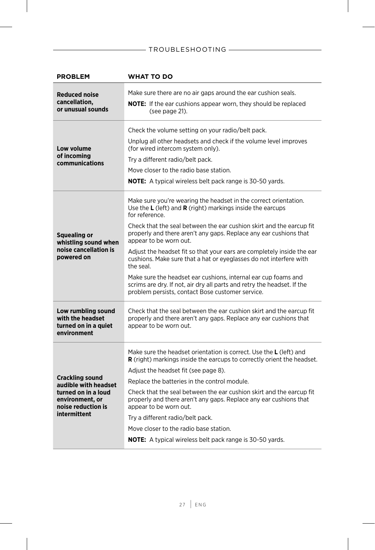| <b>PROBLEM</b>                                                                                                                 | <b>WHAT TO DO</b>                                                                                                                                                                                                                                                                                                                                                                                                                                                                                                                                                                                                                                                                         |  |  |
|--------------------------------------------------------------------------------------------------------------------------------|-------------------------------------------------------------------------------------------------------------------------------------------------------------------------------------------------------------------------------------------------------------------------------------------------------------------------------------------------------------------------------------------------------------------------------------------------------------------------------------------------------------------------------------------------------------------------------------------------------------------------------------------------------------------------------------------|--|--|
| <b>Reduced noise</b><br>cancellation.<br>or unusual sounds                                                                     | Make sure there are no air gaps around the ear cushion seals.<br><b>NOTE:</b> If the ear cushions appear worn, they should be replaced<br>(see page 21).                                                                                                                                                                                                                                                                                                                                                                                                                                                                                                                                  |  |  |
| Low volume<br>of incoming<br>communications                                                                                    | Check the volume setting on your radio/belt pack.<br>Unplug all other headsets and check if the volume level improves<br>(for wired intercom system only).<br>Try a different radio/belt pack.<br>Move closer to the radio base station.<br><b>NOTE:</b> A typical wireless belt pack range is 30-50 yards.                                                                                                                                                                                                                                                                                                                                                                               |  |  |
| <b>Squealing or</b><br>whistling sound when<br>noise cancellation is<br>powered on                                             | Make sure you're wearing the headset in the correct orientation.<br>Use the $L$ (left) and $R$ (right) markings inside the earcups<br>for reference.<br>Check that the seal between the ear cushion skirt and the earcup fit<br>properly and there aren't any gaps. Replace any ear cushions that<br>appear to be worn out.<br>Adjust the headset fit so that your ears are completely inside the ear<br>cushions. Make sure that a hat or eyeglasses do not interfere with<br>the seal.<br>Make sure the headset ear cushions, internal ear cup foams and<br>scrims are dry. If not, air dry all parts and retry the headset. If the<br>problem persists, contact Bose customer service. |  |  |
| Low rumbling sound<br>with the headset<br>turned on in a quiet<br>environment                                                  | Check that the seal between the ear cushion skirt and the earcup fit<br>properly and there aren't any gaps. Replace any ear cushions that<br>appear to be worn out.                                                                                                                                                                                                                                                                                                                                                                                                                                                                                                                       |  |  |
| <b>Crackling sound</b><br>audible with headset<br>turned on in a loud<br>environment, or<br>noise reduction is<br>intermittent | Make sure the headset orientation is correct. Use the L (left) and<br><b>R</b> (right) markings inside the earcups to correctly orient the headset.<br>Adjust the headset fit (see page 8).<br>Replace the batteries in the control module.<br>Check that the seal between the ear cushion skirt and the earcup fit<br>properly and there aren't any gaps. Replace any ear cushions that<br>appear to be worn out.<br>Try a different radio/belt pack.<br>Move closer to the radio base station.<br><b>NOTE:</b> A typical wireless belt pack range is 30-50 yards.                                                                                                                       |  |  |